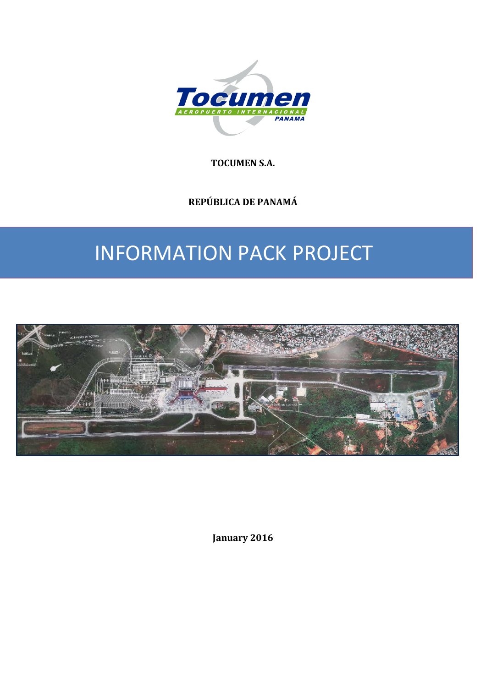

**TOCUMEN S.A.**

**REPÚBLICA DE PANAMÁ**

# INFORMATION PACK PROJECT



**January 2016**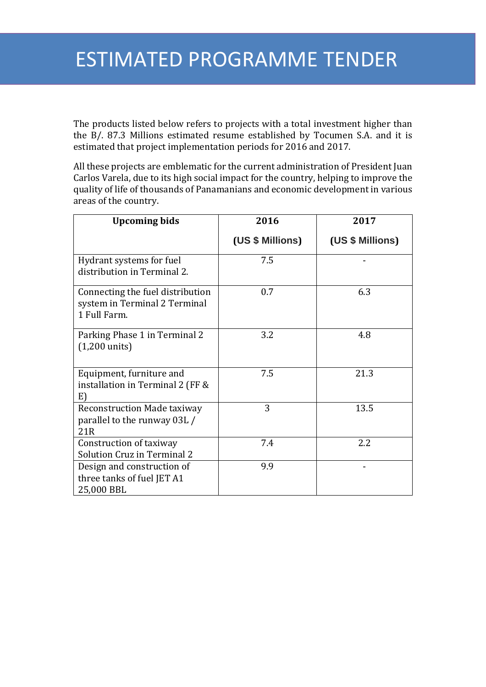The products listed below refers to projects with a total investment higher than the B/. 87.3 Millions estimated resume established by Tocumen S.A. and it is estimated that project implementation periods for 2016 and 2017.

All these projects are emblematic for the current administration of President Juan Carlos Varela, due to its high social impact for the country, helping to improve the quality of life of thousands of Panamanians and economic development in various areas of the country.

| <b>Upcoming bids</b>                                                              | 2016             | 2017             |
|-----------------------------------------------------------------------------------|------------------|------------------|
|                                                                                   | (US \$ Millions) | (US \$ Millions) |
| Hydrant systems for fuel<br>distribution in Terminal 2.                           | 7.5              |                  |
| Connecting the fuel distribution<br>system in Terminal 2 Terminal<br>1 Full Farm. | 0.7              | 6.3              |
| Parking Phase 1 in Terminal 2<br>$(1,200 \text{ units})$                          | 3.2              | 4.8              |
| Equipment, furniture and<br>installation in Terminal 2 (FF &<br>E)                | 7.5              | 21.3             |
| <b>Reconstruction Made taxiway</b><br>parallel to the runway 03L /<br>21R         | 3                | 13.5             |
| Construction of taxiway<br><b>Solution Cruz in Terminal 2</b>                     | 7.4              | 2.2              |
| Design and construction of<br>three tanks of fuel JET A1<br>25,000 BBL            | 9.9              |                  |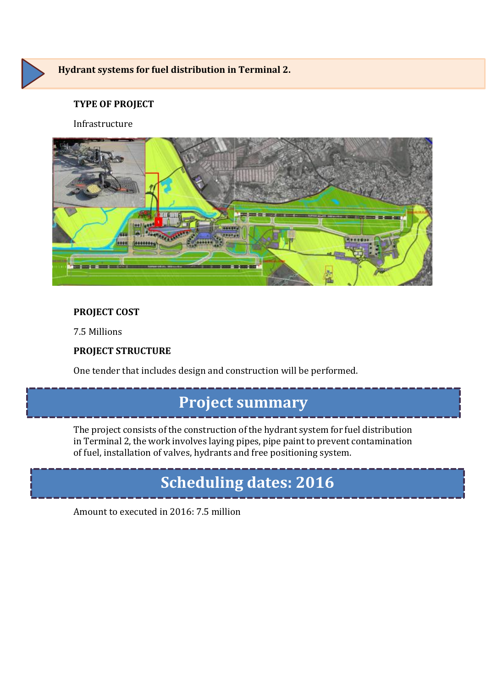

### **Hydrant systems for fuel distribution in Terminal 2.**

### **TYPE OF PROJECT**

#### Infrastructure



### **PROJECT COST**

7.5 Millions

### **PROJECT STRUCTURE**

One tender that includes design and construction will be performed.

### **Project summary**

The project consists of the construction of the hydrant system for fuel distribution in Terminal 2, the work involves laying pipes, pipe paint to prevent contamination of fuel, installation of valves, hydrants and free positioning system.

# **Scheduling dates: 2016**

Amount to executed in 2016: 7.5 million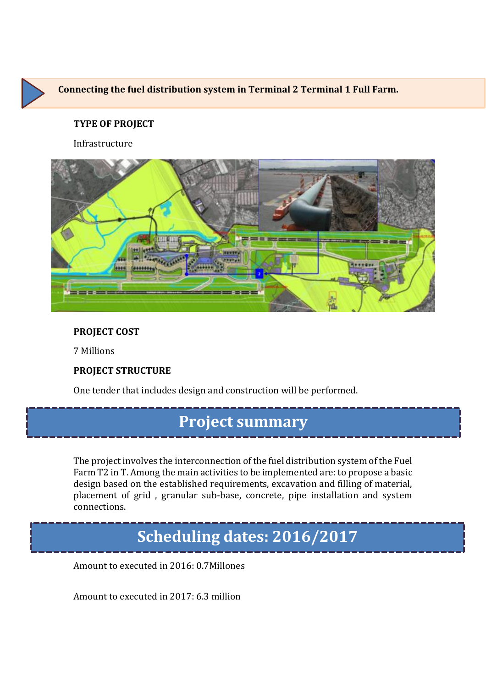

Infrastructure



### **PROJECT COST**

7 Millions

### **PROJECT STRUCTURE**

One tender that includes design and construction will be performed.

### **Project summary**

The project involves the interconnection of the fuel distribution system of the Fuel Farm T2 in T. Among the main activities to be implemented are: to propose a basic design based on the established requirements, excavation and filling of material, placement of grid , granular sub-base, concrete, pipe installation and system connections.

### **Scheduling dates: 2016/2017**

Amount to executed in 2016: 0.7Millones

Amount to executed in 2017: 6.3 million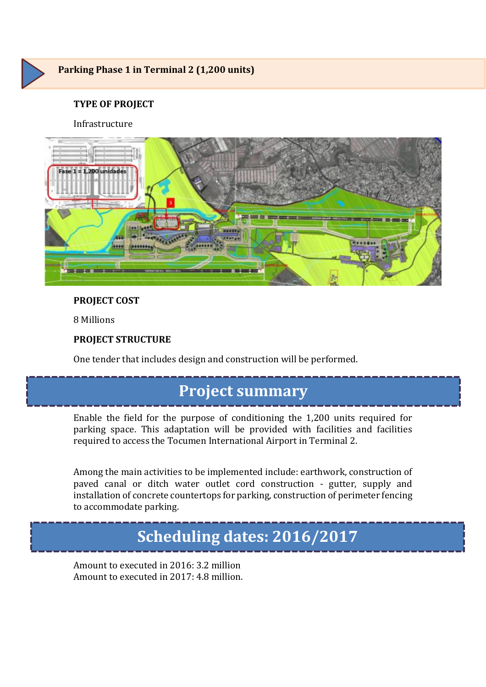

#### Infrastructure



### **PROJECT COST**

8 Millions

### **PROJECT STRUCTURE**

One tender that includes design and construction will be performed.

### **Project summary**

Enable the field for the purpose of conditioning the 1,200 units required for parking space. This adaptation will be provided with facilities and facilities required to access the Tocumen International Airport in Terminal 2.

Among the main activities to be implemented include: earthwork, construction of paved canal or ditch water outlet cord construction - gutter, supply and installation of concrete countertops for parking, construction of perimeter fencing to accommodate parking.

## **Scheduling dates: 2016/2017**

Amount to executed in 2016: 3.2 million Amount to executed in 2017: 4.8 million.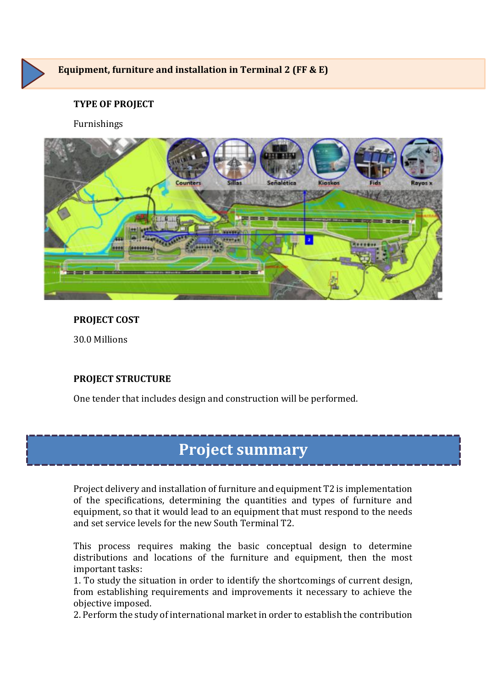

Furnishings



### **PROJECT COST**

30.0 Millions

### **PROJECT STRUCTURE**

One tender that includes design and construction will be performed.

## **Project summary**

Project delivery and installation of furniture and equipment T2 is implementation of the specifications, determining the quantities and types of furniture and equipment, so that it would lead to an equipment that must respond to the needs and set service levels for the new South Terminal T2.

This process requires making the basic conceptual design to determine distributions and locations of the furniture and equipment, then the most important tasks:

1. To study the situation in order to identify the shortcomings of current design, from establishing requirements and improvements it necessary to achieve the objective imposed.

2. Perform the study of international market in order to establish the contribution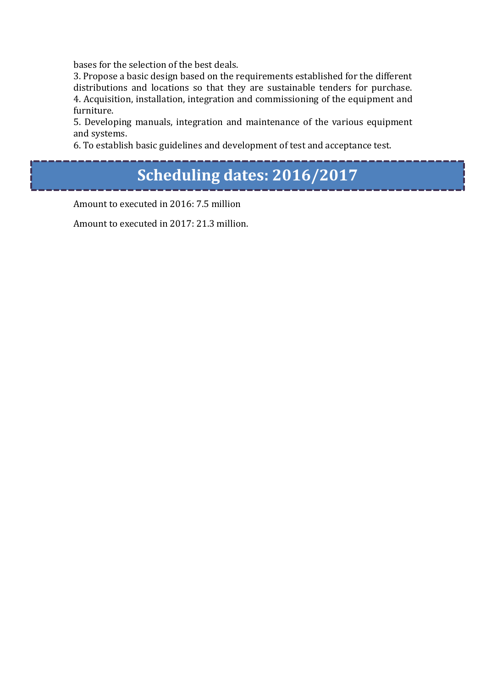bases for the selection of the best deals.

3. Propose a basic design based on the requirements established for the different distributions and locations so that they are sustainable tenders for purchase. 4. Acquisition, installation, integration and commissioning of the equipment and furniture.

5. Developing manuals, integration and maintenance of the various equipment and systems.

6. To establish basic guidelines and development of test and acceptance test.

## **Scheduling dates: 2016/2017**

Amount to executed in 2016: 7.5 million

Amount to executed in 2017: 21.3 million.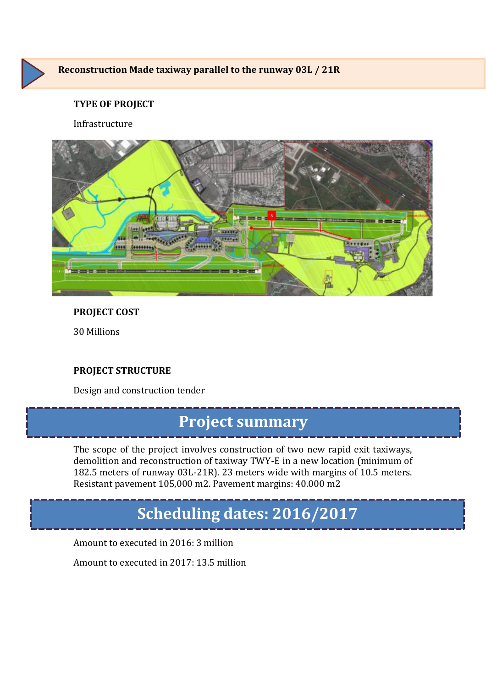

### **Reconstruction Made taxiway parallel to the runway 03L / 21R**

### **TYPE OF PROJECT**

#### Infrastructure



#### **PROJECT COST**

30 Millions

### **PROJECT STRUCTURE**

Design and construction tender

### **Project summary**

The scope of the project involves construction of two new rapid exit taxiways, demolition and reconstruction of taxiway TWY-E in a new location (minimum of 182.5 meters of runway 03L-21R). 23 meters wide with margins of 10.5 meters. Resistant pavement 105,000 m2. Pavement margins: 40.000 m2

## **Scheduling dates: 2016/2017**

Amount to executed in 2016: 3 million

Amount to executed in 2017: 13.5 million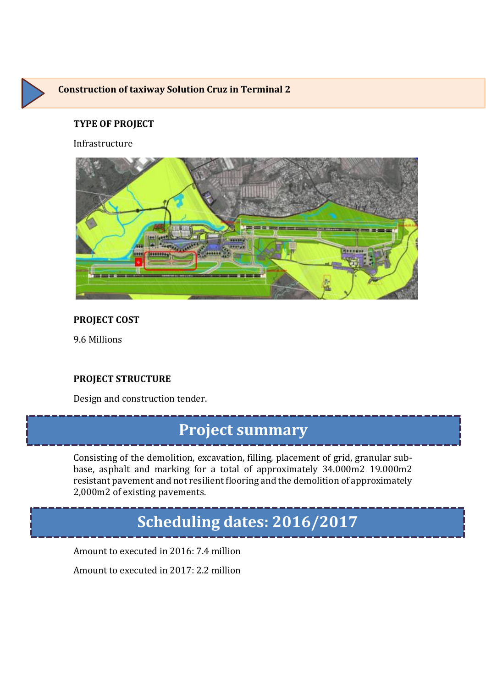### **Construction of taxiway Solution Cruz in Terminal 2**

#### **TYPE OF PROJECT**

Infrastructure



### **PROJECT COST**

9.6 Millions

#### **PROJECT STRUCTURE**

Design and construction tender.

# **Project summary**

Consisting of the demolition, excavation, filling, placement of grid, granular subbase, asphalt and marking for a total of approximately 34.000m2 19.000m2 resistant pavement and not resilient flooring and the demolition of approximately 2,000m2 of existing pavements.

## **Scheduling dates: 2016/2017**

Amount to executed in 2016: 7.4 million

Amount to executed in 2017: 2.2 million